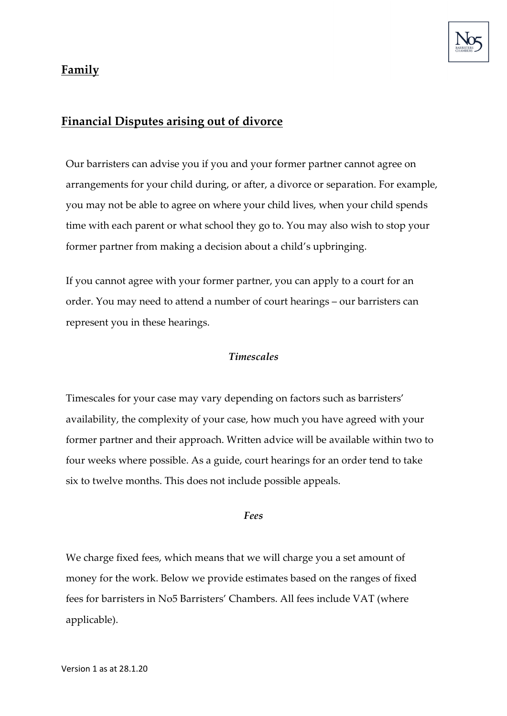

## **Family**

## **Financial Disputes arising out of divorce**

Our barristers can advise you if you and your former partner cannot agree on arrangements for your child during, or after, a divorce or separation. For example, you may not be able to agree on where your child lives, when your child spends time with each parent or what school they go to. You may also wish to stop your former partner from making a decision about a child's upbringing.

If you cannot agree with your former partner, you can apply to a court for an order. You may need to attend a number of court hearings – our barristers can represent you in these hearings.

## *Timescales*

Timescales for your case may vary depending on factors such as barristers' availability, the complexity of your case, how much you have agreed with your former partner and their approach. Written advice will be available within two to four weeks where possible. As a guide, court hearings for an order tend to take six to twelve months. This does not include possible appeals.

## *Fees*

We charge fixed fees, which means that we will charge you a set amount of money for the work. Below we provide estimates based on the ranges of fixed fees for barristers in No5 Barristers' Chambers. All fees include VAT (where applicable).